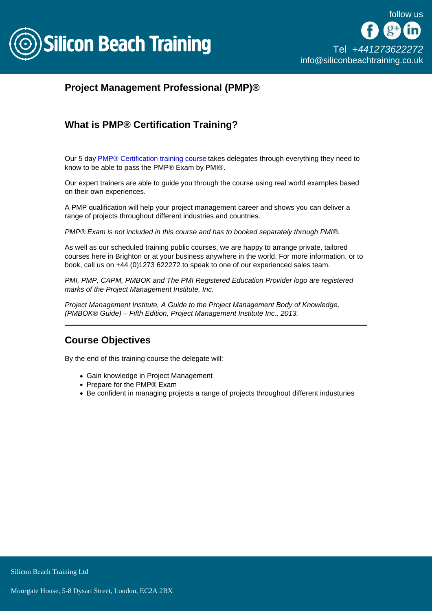

## Project Management Professional (PMP)®

## What is PMP® Certification Training?

Our 5 day [PMP® Certification training course](/pmp-training) takes delegates through everything they need to know to be able to pass the PMP® Exam by PMI®.

Our expert trainers are able to guide you through the course using real world examples based on their own experiences.

A PMP qualification will help your project management career and shows you can deliver a range of projects throughout different industries and countries.

PMP® Exam is not included in this course and has to booked separately through PMI®.

As well as our scheduled training public courses, we are happy to arrange private, tailored courses here in Brighton or at your business anywhere in the world. For more information, or to book, call us on +44 (0)1273 622272 to speak to one of our experienced sales team.

PMI, PMP, CAPM, PMBOK and The PMI Registered Education Provider logo are registered marks of the Project Management Institute, Inc.

Project Management Institute, A Guide to the Project Management Body of Knowledge, (PMBOK® Guide) – Fifth Edition, Project Management Institute Inc., 2013.

## Course Objectives

By the end of this training course the delegate will:

- Gain knowledge in Project Management
- Prepare for the PMP® Exam
- Be confident in managing projects a range of projects throughout different industuries